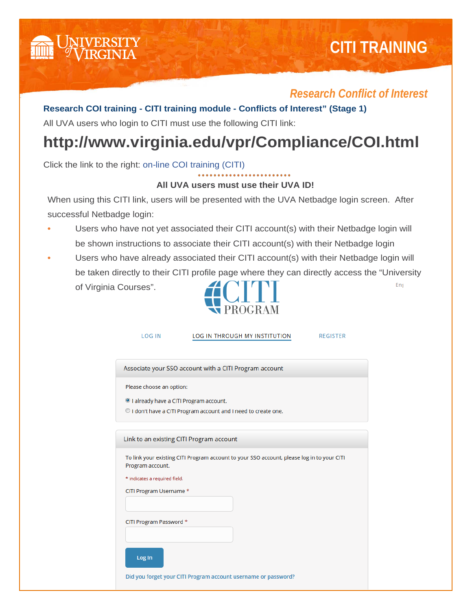

## *Research Conflict of Interest*

## **Research COI training - CITI training module - Conflicts of Interest" (Stage 1)**

All UVA users who login to CITI must use the following CITI link:

## **http://www.virginia.edu/vpr/Compliance/COI.html**

Click the link to the right: on-line COI training (CITI)

## **All UVA users must use their UVA ID!**

When using this CITI link, users will be presented with the UVA Netbadge login screen. After successful Netbadge login:

- **•** Users who have not yet associated their CITI account(s) with their Netbadge login will be shown instructions to associate their CITI account(s) with their Netbadge login
- **•** Users who have already associated their CITI account(s) with their Netbadge login will be taken directly to their CITI profile page where they can directly access the "University Eng of Virginia Courses".



| <b>LOG IN</b>                          | <b>LOG IN THROUGH MY INSTITUTION</b>                                                       | <b>REGISTER</b> |
|----------------------------------------|--------------------------------------------------------------------------------------------|-----------------|
|                                        |                                                                                            |                 |
|                                        |                                                                                            |                 |
|                                        | Associate your SSO account with a CITI Program account                                     |                 |
|                                        |                                                                                            |                 |
| Please choose an option:               |                                                                                            |                 |
| I already have a CITI Program account. |                                                                                            |                 |
|                                        | O I don't have a CITI Program account and I need to create one.                            |                 |
|                                        |                                                                                            |                 |
|                                        |                                                                                            |                 |
|                                        | Link to an existing CITI Program account                                                   |                 |
|                                        |                                                                                            |                 |
| Program account.                       | To link your existing CITI Program account to your SSO account, please log in to your CITI |                 |
|                                        |                                                                                            |                 |
| * indicates a required field.          |                                                                                            |                 |
| CITI Program Username *                |                                                                                            |                 |
|                                        |                                                                                            |                 |
|                                        |                                                                                            |                 |
| CITI Program Password *                |                                                                                            |                 |
|                                        |                                                                                            |                 |
|                                        |                                                                                            |                 |
| Log In                                 |                                                                                            |                 |
|                                        | Did you forget your CITI Program account username or password?                             |                 |
|                                        |                                                                                            |                 |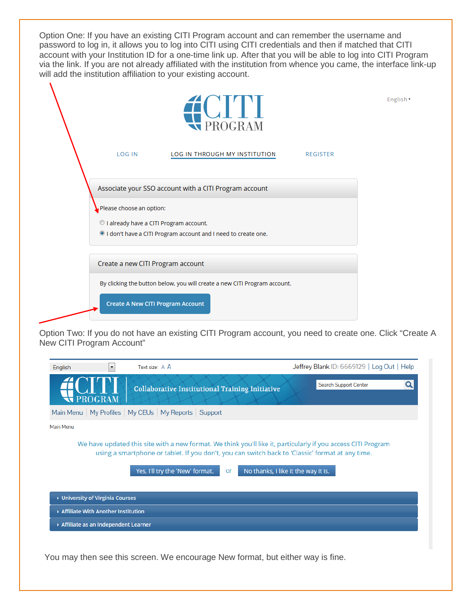Option One: If you have an existing CITI Program account and can remember the username and password to log in, it allows you to log into CITI using CITI credentials and then if matched that CITI account with your Institution ID for a one-time link up. After that you will be able to log into CITI Program via the link. If you are not already affiliated with the institution from whence you came, the interface link-up will add the institution affiliation to your existing account.

|                                                                    | <b>EXPROGRAM</b>                                                                                                                     |                 | English . |
|--------------------------------------------------------------------|--------------------------------------------------------------------------------------------------------------------------------------|-----------------|-----------|
| <b>LOG IN</b>                                                      | LOG IN THROUGH MY INSTITUTION                                                                                                        | <b>REGISTER</b> |           |
| Please choose an option:<br>I already have a CITI Program account. | Associate your SSO account with a CITI Program account<br><sup>o</sup> I don't have a CITI Program account and I need to create one. |                 |           |
| Create a new CITI Program account                                  | By clicking the button below, you will create a new CITI Program account.                                                            |                 |           |
| <b>Create A New CITI Program Account</b>                           |                                                                                                                                      |                 |           |

Option Two: If you do not have an existing CITI Program account, you need to create one. Click "Create A New CITI Program Account"

| English                             | ۰              | Text size: $A$ $\overline{A}$                            | Jeffrey Blank ID: 6669129   Log Out   Help |
|-------------------------------------|----------------|----------------------------------------------------------|--------------------------------------------|
|                                     | <b>PROGRAM</b> | <b>Collaborative Institutional Training Initiative</b>   | Search Support Center<br>Q                 |
|                                     |                | Main Menu   My Profiles   My CEUs   My Reports   Support |                                            |
| Main Menu                           |                |                                                          |                                            |
|                                     |                | Yes, I'll try the 'New' format.<br>or                    | No thanks, I like it the way it is.        |
| ▶ University of Virginia Courses    |                |                                                          |                                            |
| Affiliate With Another Institution  |                |                                                          |                                            |
| Affiliate as an Independent Learner |                |                                                          |                                            |
|                                     |                |                                                          |                                            |

You may then see this screen. We encourage New format, but either way is fine.